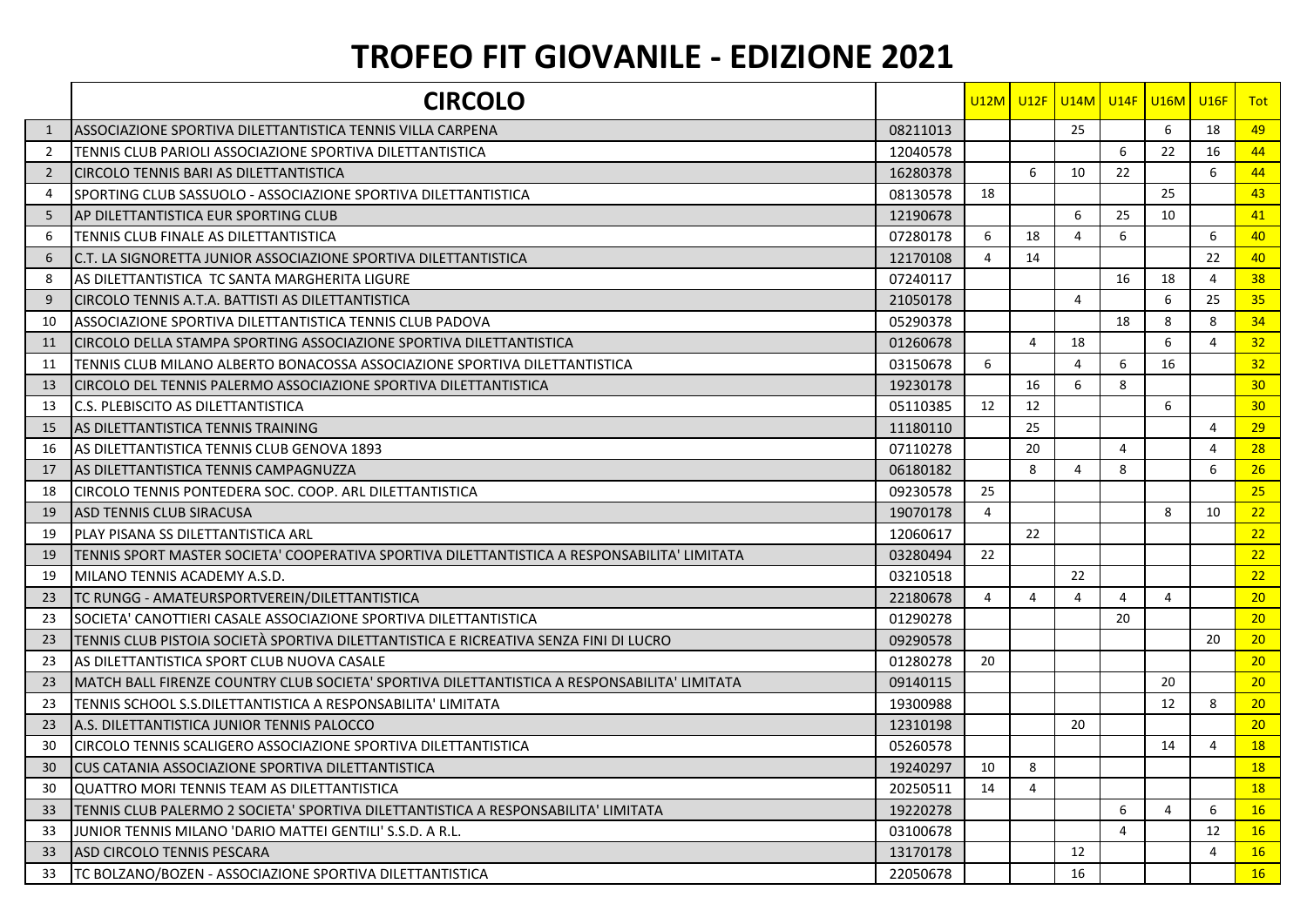## **TROFEO FIT GIOVANILE - EDIZIONE 2021**

|                | <b>CIRCOLO</b>                                                                                |          |                |                |                |                | <u>U12M U12F U14M U14F U16M U16F</u> |                | <b>Tot</b>      |
|----------------|-----------------------------------------------------------------------------------------------|----------|----------------|----------------|----------------|----------------|--------------------------------------|----------------|-----------------|
| 1              | IASSOCIAZIONE SPORTIVA DILETTANTISTICA TENNIS VILLA CARPENA                                   | 08211013 |                |                | 25             |                | 6                                    | 18             | 49              |
| 2              | ITENNIS CLUB PARIOLI ASSOCIAZIONE SPORTIVA DILETTANTISTICA                                    | 12040578 |                |                |                | 6              | 22                                   | 16             | 44              |
| $\overline{2}$ | <b>ICIRCOLO TENNIS BARI AS DILETTANTISTICA</b>                                                | 16280378 |                | 6              | 10             | 22             |                                      | 6              | 44              |
| 4              | <b>ISPORTING CLUB SASSUOLO - ASSOCIAZIONE SPORTIVA DILETTANTISTICA</b>                        | 08130578 | 18             |                |                |                | 25                                   |                | 43              |
| 5              | IAP DILETTANTISTICA EUR SPORTING CLUB                                                         | 12190678 |                |                | 6              | 25             | 10                                   |                | 41              |
| 6              | <b>ITENNIS CLUB FINALE AS DILETTANTISTICA</b>                                                 | 07280178 | 6              | 18             | $\overline{4}$ | 6              |                                      | 6              | 40              |
| 6              | IC.T. LA SIGNORETTA JUNIOR ASSOCIAZIONE SPORTIVA DILETTANTISTICA                              | 12170108 | 4              | 14             |                |                |                                      | 22             | 40              |
| 8              | AS DILETTANTISTICA TC SANTA MARGHERITA LIGURE                                                 | 07240117 |                |                |                | 16             | 18                                   | 4              | 38              |
| 9              | ICIRCOLO TENNIS A.T.A. BATTISTI AS DILETTANTISTICA                                            | 21050178 |                |                | $\overline{4}$ |                | 6                                    | 25             | 35              |
| 10             | IASSOCIAZIONE SPORTIVA DILETTANTISTICA TENNIS CLUB PADOVA                                     | 05290378 |                |                |                | 18             | 8                                    | 8              | 34              |
| 11             | ICIRCOLO DELLA STAMPA SPORTING ASSOCIAZIONE SPORTIVA DILETTANTISTICA                          | 01260678 |                | 4              | 18             |                | 6                                    | 4              | 32              |
| 11             | <u> TENNIS CLUB MILANO ALBERTO BONACOSSA ASSOCIAZIONE SPORTIVA DILETTANTISTICA</u>            | 03150678 | 6              |                | $\overline{4}$ | 6              | 16                                   |                | 32              |
| 13             | ICIRCOLO DEL TENNIS PALERMO ASSOCIAZIONE SPORTIVA DILETTANTISTICA                             | 19230178 |                | 16             | 6              | 8              |                                      |                | 30              |
| 13             | <b>C.S. PLEBISCITO AS DILETTANTISTICA</b>                                                     | 05110385 | 12             | 12             |                |                | 6                                    |                | 30 <sup>°</sup> |
| 15             | AS DILETTANTISTICA TENNIS TRAINING                                                            | 11180110 |                | 25             |                |                |                                      | $\overline{4}$ | 29              |
| 16             | IAS DILETTANTISTICA TENNIS CLUB GENOVA 1893                                                   | 07110278 |                | 20             |                | $\overline{4}$ |                                      | 4              | 28              |
| 17             | <b>JAS DILETTANTISTICA TENNIS CAMPAGNUZZA</b>                                                 | 06180182 |                | 8              | 4              | 8              |                                      | 6              | 26              |
| 18             | CIRCOLO TENNIS PONTEDERA SOC. COOP. ARL DILETTANTISTICA                                       | 09230578 | 25             |                |                |                |                                      |                | 25              |
| 19             | <b>ASD TENNIS CLUB SIRACUSA</b>                                                               | 19070178 | $\overline{4}$ |                |                |                | 8                                    | 10             | 22              |
| 19             | <b>PLAY PISANA SS DILETTANTISTICA ARL</b>                                                     | 12060617 |                | 22             |                |                |                                      |                | 22              |
| 19             | ITENNIS SPORT MASTER SOCIETA' COOPERATIVA SPORTIVA DILETTANTISTICA A RESPONSABILITA' LIMITATA | 03280494 | 22             |                |                |                |                                      |                | 22              |
| 19             | <b>IMILANO TENNIS ACADEMY A.S.D.</b>                                                          | 03210518 |                |                | 22             |                |                                      |                | 22              |
| 23             | <b>TC RUNGG - AMATEURSPORTVEREIN/DILETTANTISTICA</b>                                          | 22180678 | 4              | 4              | 4              | $\overline{4}$ | $\overline{4}$                       |                | 20 <sub>2</sub> |
| 23             | SOCIETA' CANOTTIERI CASALE ASSOCIAZIONE SPORTIVA DILETTANTISTICA                              | 01290278 |                |                |                | 20             |                                      |                | 20              |
| 23             | TENNIS CLUB PISTOIA SOCIETÀ SPORTIVA DILETTANTISTICA E RICREATIVA SENZA FINI DI LUCRO         | 09290578 |                |                |                |                |                                      | 20             | 20              |
| 23             | AS DILETTANTISTICA SPORT CLUB NUOVA CASALE                                                    | 01280278 | 20             |                |                |                |                                      |                | 20              |
| 23             | IMATCH BALL FIRENZE COUNTRY CLUB SOCIETA' SPORTIVA DILETTANTISTICA A RESPONSABILITA' LIMITATA | 09140115 |                |                |                |                | 20                                   |                | 20              |
| 23             | <b>ITENNIS SCHOOL S.S.DILETTANTISTICA A RESPONSABILITA' LIMITATA</b>                          | 19300988 |                |                |                |                | 12                                   | 8              | 20              |
| 23             | IA.S. DILETTANTISTICA JUNIOR TENNIS PALOCCO                                                   | 12310198 |                |                | 20             |                |                                      |                | 20              |
| 30             | ICIRCOLO TENNIS SCALIGERO ASSOCIAZIONE SPORTIVA DILETTANTISTICA                               | 05260578 |                |                |                |                | 14                                   | 4              | <b>18</b>       |
| 30             | <b>ICUS CATANIA ASSOCIAZIONE SPORTIVA DILETTANTISTICA</b>                                     | 19240297 | 10             | 8              |                |                |                                      |                | <b>18</b>       |
| 30             | <b>QUATTRO MORI TENNIS TEAM AS DILETTANTISTICA</b>                                            | 20250511 | 14             | $\overline{4}$ |                |                |                                      |                | <b>18</b>       |
| 33             | ITENNIS CLUB PALERMO 2 SOCIETA' SPORTIVA DILETTANTISTICA A RESPONSABILITA' LIMITATA           | 19220278 |                |                |                | 6              | $\overline{4}$                       | 6              | 16              |
| 33             | IJUNIOR TENNIS MILANO 'DARIO MATTEI GENTILI' S.S.D. A R.L.                                    | 03100678 |                |                |                | $\overline{4}$ |                                      | 12             | 16              |
| 33             | <b>JASD CIRCOLO TENNIS PESCARA</b>                                                            | 13170178 |                |                | 12             |                |                                      | $\overline{4}$ | 16              |
| 33             | <u> ITC BOLZANO/BOZEN - ASSOCIAZIONE SPORTIVA DILETTANTISTICA</u>                             | 22050678 |                |                | 16             |                |                                      |                | 16              |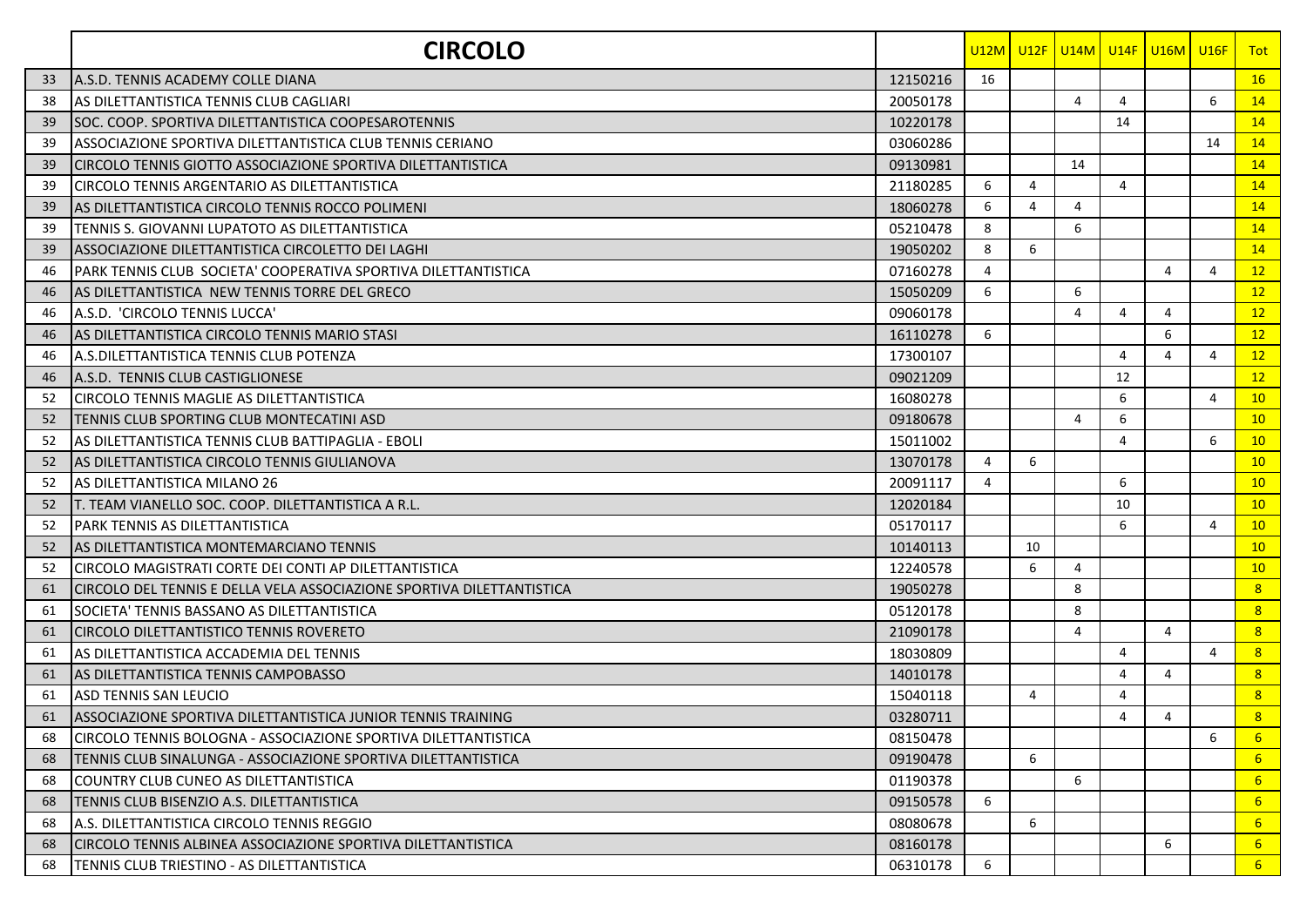|    | <b>CIRCOLO</b>                                                        |          |    |                |                |                | <u>U12M U12F U14M U14F U16M U16F</u> |    | <b>Tot</b>      |
|----|-----------------------------------------------------------------------|----------|----|----------------|----------------|----------------|--------------------------------------|----|-----------------|
| 33 | A.S.D. TENNIS ACADEMY COLLE DIANA                                     | 12150216 | 16 |                |                |                |                                      |    | 16              |
| 38 | IAS DILETTANTISTICA TENNIS CLUB CAGLIARI                              | 20050178 |    |                | $\overline{4}$ | 4              |                                      | 6  | 14              |
| 39 | ISOC. COOP. SPORTIVA DILETTANTISTICA COOPESAROTENNIS                  | 10220178 |    |                |                | 14             |                                      |    | 14              |
| 39 | ASSOCIAZIONE SPORTIVA DILETTANTISTICA CLUB TENNIS CERIANO             | 03060286 |    |                |                |                |                                      | 14 | 14              |
| 39 | CIRCOLO TENNIS GIOTTO ASSOCIAZIONE SPORTIVA DILETTANTISTICA           | 09130981 |    |                | 14             |                |                                      |    | 14              |
| 39 | CIRCOLO TENNIS ARGENTARIO AS DILETTANTISTICA                          | 21180285 | 6  | $\overline{4}$ |                | $\overline{4}$ |                                      |    | 14              |
| 39 | IAS DILETTANTISTICA CIRCOLO TENNIS ROCCO POLIMENI                     | 18060278 | 6  | 4              | $\overline{4}$ |                |                                      |    | 14              |
| 39 | TENNIS S. GIOVANNI LUPATOTO AS DILETTANTISTICA                        | 05210478 | 8  |                | 6              |                |                                      |    | 14              |
| 39 | ASSOCIAZIONE DILETTANTISTICA CIRCOLETTO DEI LAGHI                     | 19050202 | 8  | 6              |                |                |                                      |    | 14              |
| 46 | IPARK TENNIS CLUB  SOCIETA' COOPERATIVA SPORTIVA DILETTANTISTICA      | 07160278 | 4  |                |                |                | 4                                    | 4  | 12              |
| 46 | IAS DILETTANTISTICA NEW TENNIS TORRE DEL GRECO                        | 15050209 | 6  |                | 6              |                |                                      |    | 12              |
| 46 | A.S.D. 'CIRCOLO TENNIS LUCCA'                                         | 09060178 |    |                | $\overline{4}$ | 4              | 4                                    |    | 12              |
| 46 | IAS DILETTANTISTICA CIRCOLO TENNIS MARIO STASI                        | 16110278 | 6  |                |                |                | 6                                    |    | 12              |
| 46 | A.S.DILETTANTISTICA TENNIS CLUB POTENZA                               | 17300107 |    |                |                | 4              | $\overline{4}$                       | 4  | 12              |
| 46 | A.S.D. TENNIS CLUB CASTIGLIONESE                                      | 09021209 |    |                |                | 12             |                                      |    | 12              |
| 52 | CIRCOLO TENNIS MAGLIE AS DILETTANTISTICA                              | 16080278 |    |                |                | 6              |                                      | 4  | 10              |
| 52 | TENNIS CLUB SPORTING CLUB MONTECATINI ASD                             | 09180678 |    |                | $\overline{4}$ | 6              |                                      |    | 10              |
| 52 | AS DILETTANTISTICA TENNIS CLUB BATTIPAGLIA - EBOLI                    | 15011002 |    |                |                | 4              |                                      | 6  | 10              |
| 52 | IAS DILETTANTISTICA CIRCOLO TENNIS GIULIANOVA                         | 13070178 | 4  | 6              |                |                |                                      |    | 10              |
| 52 | AS DILETTANTISTICA MILANO 26                                          | 20091117 | 4  |                |                | 6              |                                      |    | 10              |
| 52 | T. TEAM VIANELLO SOC. COOP. DILETTANTISTICA A R.L.                    | 12020184 |    |                |                | 10             |                                      |    | 10              |
| 52 | PARK TENNIS AS DILETTANTISTICA                                        | 05170117 |    |                |                | 6              |                                      | 4  | 10              |
| 52 | <b>AS DILETTANTISTICA MONTEMARCIANO TENNIS</b>                        | 10140113 |    | 10             |                |                |                                      |    | 10              |
| 52 | CIRCOLO MAGISTRATI CORTE DEI CONTI AP DILETTANTISTICA                 | 12240578 |    | 6              | $\overline{4}$ |                |                                      |    | 10              |
| 61 | CIRCOLO DEL TENNIS E DELLA VELA ASSOCIAZIONE SPORTIVA DILETTANTISTICA | 19050278 |    |                | 8              |                |                                      |    | 8               |
| 61 | SOCIETA' TENNIS BASSANO AS DILETTANTISTICA                            | 05120178 |    |                | 8              |                |                                      |    | 8               |
| 61 | ICIRCOLO DILETTANTISTICO TENNIS ROVERETO                              | 21090178 |    |                | $\overline{4}$ |                | 4                                    |    | 8               |
| 61 | AS DILETTANTISTICA ACCADEMIA DEL TENNIS                               | 18030809 |    |                |                | 4              |                                      | 4  | 8               |
| 61 | AS DILETTANTISTICA TENNIS CAMPOBASSO                                  | 14010178 |    |                |                | $\overline{4}$ | 4                                    |    | 8               |
| 61 | <b>ASD TENNIS SAN LEUCIO</b>                                          | 15040118 |    | 4              |                | 4              |                                      |    | 8               |
| 61 | ASSOCIAZIONE SPORTIVA DILETTANTISTICA JUNIOR TENNIS TRAINING          | 03280711 |    |                |                | $\overline{4}$ | $\overline{4}$                       |    | 8               |
| 68 | CIRCOLO TENNIS BOLOGNA - ASSOCIAZIONE SPORTIVA DILETTANTISTICA        | 08150478 |    |                |                |                |                                      | 6  | 6               |
| 68 | TENNIS CLUB SINALUNGA - ASSOCIAZIONE SPORTIVA DILETTANTISTICA         | 09190478 |    | 6              |                |                |                                      |    | 6               |
| 68 | ICOUNTRY CLUB CUNEO AS DILETTANTISTICA                                | 01190378 |    |                | 6              |                |                                      |    | $6\overline{6}$ |
| 68 | TENNIS CLUB BISENZIO A.S. DILETTANTISTICA                             | 09150578 | 6  |                |                |                |                                      |    | 6               |
| 68 | A.S. DILETTANTISTICA CIRCOLO TENNIS REGGIO                            | 08080678 |    | 6              |                |                |                                      |    | 6               |
| 68 | CIRCOLO TENNIS ALBINEA ASSOCIAZIONE SPORTIVA DILETTANTISTICA          | 08160178 |    |                |                |                | 6                                    |    | $6^{\circ}$     |
| 68 | TENNIS CLUB TRIESTINO - AS DILETTANTISTICA                            | 06310178 | 6  |                |                |                |                                      |    | 6 <sup>1</sup>  |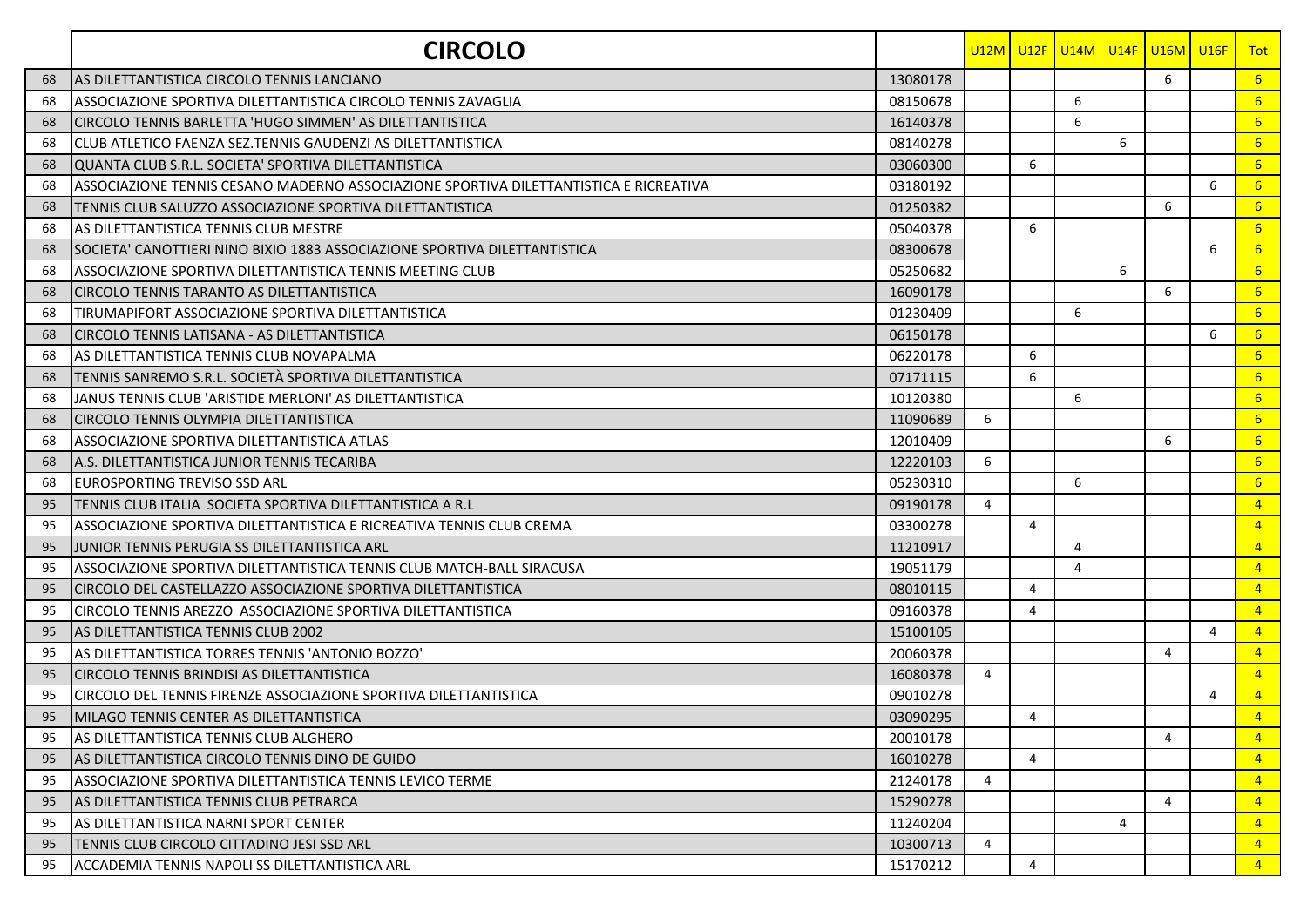|    | <b>CIRCOLO</b>                                                                        |          |                |                | <u>U12M LU12F LU14M LU14F LU16M LU16F</u> |   |   |   | Tot              |
|----|---------------------------------------------------------------------------------------|----------|----------------|----------------|-------------------------------------------|---|---|---|------------------|
| 68 | IAS DILETTANTISTICA CIRCOLO TENNIS LANCIANO                                           | 13080178 |                |                |                                           |   | 6 |   | 6 <sup>°</sup>   |
| 68 | ASSOCIAZIONE SPORTIVA DILETTANTISTICA CIRCOLO TENNIS ZAVAGLIA                         | 08150678 |                |                | 6                                         |   |   |   | $6^{\circ}$      |
| 68 | CIRCOLO TENNIS BARLETTA 'HUGO SIMMEN' AS DILETTANTISTICA                              | 16140378 |                |                | 6                                         |   |   |   | $6^{\circ}$      |
| 68 | CLUB ATLETICO FAENZA SEZ.TENNIS GAUDENZI AS DILETTANTISTICA                           | 08140278 |                |                |                                           | 6 |   |   | $6 \overline{6}$ |
| 68 | QUANTA CLUB S.R.L. SOCIETA' SPORTIVA DILETTANTISTICA                                  | 03060300 |                | 6              |                                           |   |   |   | 6 <sup>°</sup>   |
| 68 | ASSOCIAZIONE TENNIS CESANO MADERNO ASSOCIAZIONE SPORTIVA DILETTANTISTICA E RICREATIVA | 03180192 |                |                |                                           |   |   | 6 | 6 <sup>1</sup>   |
| 68 | TENNIS CLUB SALUZZO ASSOCIAZIONE SPORTIVA DILETTANTISTICA                             | 01250382 |                |                |                                           |   | 6 |   | 6 <sup>°</sup>   |
| 68 | AS DILETTANTISTICA TENNIS CLUB MESTRE                                                 | 05040378 |                | 6              |                                           |   |   |   | 6 <sup>1</sup>   |
| 68 | SOCIETA' CANOTTIERI NINO BIXIO 1883 ASSOCIAZIONE SPORTIVA DILETTANTISTICA             | 08300678 |                |                |                                           |   |   | 6 | $6^{\circ}$      |
| 68 | ASSOCIAZIONE SPORTIVA DILETTANTISTICA TENNIS MEETING CLUB                             | 05250682 |                |                |                                           | 6 |   |   | 6                |
| 68 | ICIRCOLO TENNIS TARANTO AS DILETTANTISTICA                                            | 16090178 |                |                |                                           |   | 6 |   | 6 <sup>1</sup>   |
| 68 | TIRUMAPIFORT ASSOCIAZIONE SPORTIVA DILETTANTISTICA                                    | 01230409 |                |                | 6                                         |   |   |   | 6 <sup>1</sup>   |
| 68 | CIRCOLO TENNIS LATISANA - AS DILETTANTISTICA                                          | 06150178 |                |                |                                           |   |   | 6 | 6 <sup>1</sup>   |
| 68 | AS DILETTANTISTICA TENNIS CLUB NOVAPALMA                                              | 06220178 |                | 6              |                                           |   |   |   | 6 <sup>1</sup>   |
| 68 | TENNIS SANREMO S.R.L. SOCIETÀ SPORTIVA DILETTANTISTICA                                | 07171115 |                | 6              |                                           |   |   |   | 6 <sup>1</sup>   |
| 68 | JANUS TENNIS CLUB 'ARISTIDE MERLONI' AS DILETTANTISTICA                               | 10120380 |                |                | 6                                         |   |   |   | $6 \overline{6}$ |
| 68 | ICIRCOLO TENNIS OLYMPIA DILETTANTISTICA                                               | 11090689 | 6              |                |                                           |   |   |   | 6 <sup>1</sup>   |
| 68 | ASSOCIAZIONE SPORTIVA DILETTANTISTICA ATLAS                                           | 12010409 |                |                |                                           |   | 6 |   | 6 <sup>1</sup>   |
| 68 | A.S. DILETTANTISTICA JUNIOR TENNIS TECARIBA                                           | 12220103 | 6              |                |                                           |   |   |   | 6 <sup>1</sup>   |
| 68 | <b>EUROSPORTING TREVISO SSD ARL</b>                                                   | 05230310 |                |                | 6                                         |   |   |   | $6 \overline{6}$ |
| 95 | TENNIS CLUB ITALIA SOCIETA SPORTIVA DILETTANTISTICA A R.L                             | 09190178 | 4              |                |                                           |   |   |   | $\overline{4}$   |
| 95 | ASSOCIAZIONE SPORTIVA DILETTANTISTICA E RICREATIVA TENNIS CLUB CREMA                  | 03300278 |                | 4              |                                           |   |   |   | $\overline{4}$   |
| 95 | JUNIOR TENNIS PERUGIA SS DILETTANTISTICA ARL                                          | 11210917 |                |                | $\overline{4}$                            |   |   |   | $\overline{4}$   |
| 95 | ASSOCIAZIONE SPORTIVA DILETTANTISTICA TENNIS CLUB MATCH-BALL SIRACUSA                 | 19051179 |                |                | $\overline{4}$                            |   |   |   | $\overline{4}$   |
| 95 | CIRCOLO DEL CASTELLAZZO ASSOCIAZIONE SPORTIVA DILETTANTISTICA                         | 08010115 |                | 4              |                                           |   |   |   | $\overline{4}$   |
| 95 | CIRCOLO TENNIS AREZZO ASSOCIAZIONE SPORTIVA DILETTANTISTICA                           | 09160378 |                | 4              |                                           |   |   |   | $\overline{4}$   |
| 95 | IAS DILETTANTISTICA TENNIS CLUB 2002                                                  | 15100105 |                |                |                                           |   |   | 4 | $\overline{4}$   |
| 95 | AS DILETTANTISTICA TORRES TENNIS 'ANTONIO BOZZO'                                      | 20060378 |                |                |                                           |   | 4 |   | $\overline{4}$   |
| 95 | CIRCOLO TENNIS BRINDISI AS DILETTANTISTICA                                            | 16080378 | 4              |                |                                           |   |   |   | $\overline{4}$   |
| 95 | CIRCOLO DEL TENNIS FIRENZE ASSOCIAZIONE SPORTIVA DILETTANTISTICA                      | 09010278 |                |                |                                           |   |   | 4 | $\overline{4}$   |
| 95 | <b>IMILAGO TENNIS CENTER AS DILETTANTISTICA</b>                                       | 03090295 |                | 4              |                                           |   |   |   | $\overline{4}$   |
| 95 | AS DILETTANTISTICA TENNIS CLUB ALGHERO                                                | 20010178 |                |                |                                           |   | 4 |   | $\overline{4}$   |
| 95 | AS DILETTANTISTICA CIRCOLO TENNIS DINO DE GUIDO                                       | 16010278 |                | 4              |                                           |   |   |   | $\sqrt{4}$       |
| 95 | ASSOCIAZIONE SPORTIVA DILETTANTISTICA TENNIS LEVICO TERME                             | 21240178 | 4              |                |                                           |   |   |   | $\overline{4}$   |
| 95 | AS DILETTANTISTICA TENNIS CLUB PETRARCA                                               | 15290278 |                |                |                                           |   | 4 |   | $\overline{4}$   |
| 95 | AS DILETTANTISTICA NARNI SPORT CENTER                                                 | 11240204 |                |                |                                           | 4 |   |   | $\overline{4}$   |
| 95 | <b>ITENNIS CLUB CIRCOLO CITTADINO JESI SSD ARL</b>                                    | 10300713 | $\overline{4}$ |                |                                           |   |   |   | $\overline{4}$   |
| 95 | ACCADEMIA TENNIS NAPOLI SS DILETTANTISTICA ARL                                        | 15170212 |                | $\overline{4}$ |                                           |   |   |   | $\overline{4}$   |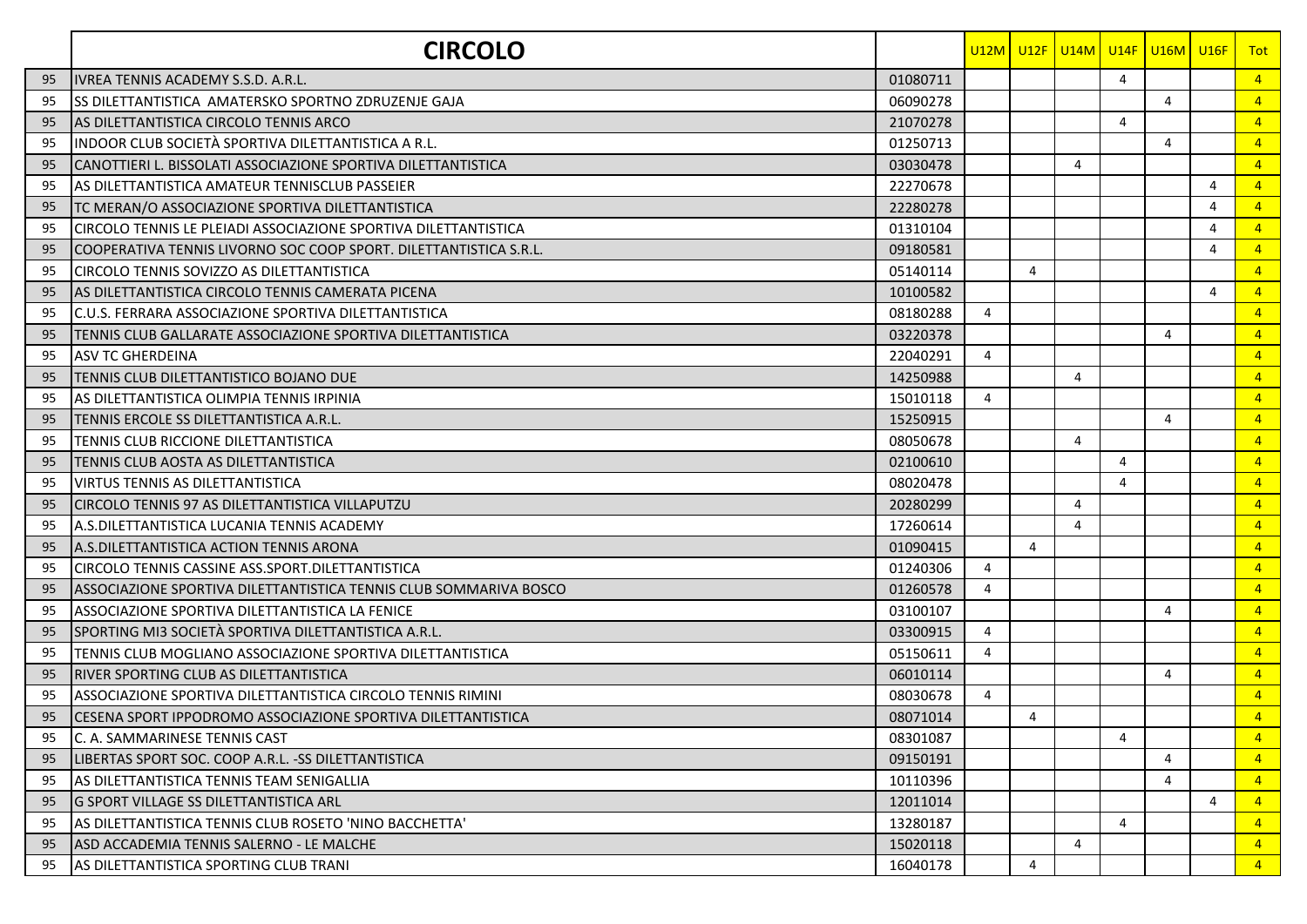|    | <b>CIRCOLO</b>                                                        |          |                |                | U12M U12F U14M U14F U16M U16F |   |   |   | <b>Tot</b>      |
|----|-----------------------------------------------------------------------|----------|----------------|----------------|-------------------------------|---|---|---|-----------------|
| 95 | IVREA TENNIS ACADEMY S.S.D. A.R.L                                     | 01080711 |                |                |                               | 4 |   |   | $\overline{4}$  |
| 95 | lss dilettantistica  amatersko sportno zdruzenje gaja                 | 06090278 |                |                |                               |   | 4 |   | $\overline{4}$  |
| 95 | AS DILETTANTISTICA CIRCOLO TENNIS ARCO                                | 21070278 |                |                |                               | 4 |   |   | $\overline{4}$  |
| 95 | INDOOR CLUB SOCIETÀ SPORTIVA DILETTANTISTICA A R.L.                   | 01250713 |                |                |                               |   | 4 |   | $\overline{4}$  |
| 95 | CANOTTIERI L. BISSOLATI ASSOCIAZIONE SPORTIVA DILETTANTISTICA         | 03030478 |                |                | 4                             |   |   |   | $\overline{4}$  |
| 95 | AS DILETTANTISTICA AMATEUR TENNISCLUB PASSEIER                        | 22270678 |                |                |                               |   |   | 4 | $\overline{4}$  |
| 95 | TC MERAN/O ASSOCIAZIONE SPORTIVA DILETTANTISTICA                      | 22280278 |                |                |                               |   |   | 4 | $\overline{4}$  |
| 95 | CIRCOLO TENNIS LE PLEIADI ASSOCIAZIONE SPORTIVA DILETTANTISTICA       | 01310104 |                |                |                               |   |   | 4 | $\overline{4}$  |
| 95 | COOPERATIVA TENNIS LIVORNO SOC COOP SPORT. DILETTANTISTICA S.R.L.     | 09180581 |                |                |                               |   |   | 4 | $\overline{4}$  |
| 95 | CIRCOLO TENNIS SOVIZZO AS DILETTANTISTICA                             | 05140114 |                | $\overline{4}$ |                               |   |   |   | $\overline{4}$  |
| 95 | IAS DILETTANTISTICA CIRCOLO TENNIS CAMERATA PICENA                    | 10100582 |                |                |                               |   |   | 4 | $\overline{4}$  |
| 95 | C.U.S. FERRARA ASSOCIAZIONE SPORTIVA DILETTANTISTICA                  | 08180288 | 4              |                |                               |   |   |   | $\overline{4}$  |
| 95 | TENNIS CLUB GALLARATE ASSOCIAZIONE SPORTIVA DILETTANTISTICA           | 03220378 |                |                |                               |   | 4 |   | $\overline{4}$  |
| 95 | <b>ASV TC GHERDEINA</b>                                               | 22040291 | 4              |                |                               |   |   |   | $\overline{4}$  |
| 95 | TENNIS CLUB DILETTANTISTICO BOJANO DUE                                | 14250988 |                |                | 4                             |   |   |   | $\overline{4}$  |
| 95 | AS DILETTANTISTICA OLIMPIA TENNIS IRPINIA                             | 15010118 | 4              |                |                               |   |   |   | $\overline{4}$  |
| 95 | TENNIS ERCOLE SS DILETTANTISTICA A.R.L.                               | 15250915 |                |                |                               |   | 4 |   | $\overline{4}$  |
| 95 | TENNIS CLUB RICCIONE DILETTANTISTICA                                  | 08050678 |                |                | 4                             |   |   |   | $\overline{4}$  |
| 95 | TENNIS CLUB AOSTA AS DILETTANTISTICA                                  | 02100610 |                |                |                               | 4 |   |   | $\overline{4}$  |
| 95 | <b>VIRTUS TENNIS AS DILETTANTISTICA</b>                               | 08020478 |                |                |                               | 4 |   |   | $\vert 4 \vert$ |
| 95 | CIRCOLO TENNIS 97 AS DILETTANTISTICA VILLAPUTZU                       | 20280299 |                |                | 4                             |   |   |   | $\overline{4}$  |
| 95 | A.S.DILETTANTISTICA LUCANIA TENNIS ACADEMY                            | 17260614 |                |                | 4                             |   |   |   | $\overline{4}$  |
| 95 | A.S.DILETTANTISTICA ACTION TENNIS ARONA                               | 01090415 |                | $\overline{4}$ |                               |   |   |   | $\overline{4}$  |
| 95 | CIRCOLO TENNIS CASSINE ASS.SPORT.DILETTANTISTICA                      | 01240306 | 4              |                |                               |   |   |   | $\overline{4}$  |
| 95 | ASSOCIAZIONE SPORTIVA DILETTANTISTICA TENNIS CLUB SOMMARIVA BOSCO     | 01260578 | 4              |                |                               |   |   |   | $\overline{4}$  |
| 95 | ASSOCIAZIONE SPORTIVA DILETTANTISTICA LA FENICE                       | 03100107 |                |                |                               |   | 4 |   | $\overline{4}$  |
| 95 | SPORTING MI3 SOCIETÀ SPORTIVA DILETTANTISTICA A.R.L.                  | 03300915 | 4              |                |                               |   |   |   | $\overline{4}$  |
| 95 | TENNIS CLUB MOGLIANO ASSOCIAZIONE SPORTIVA DILETTANTISTICA            | 05150611 | $\overline{4}$ |                |                               |   |   |   | $\overline{4}$  |
| 95 | RIVER SPORTING CLUB AS DILETTANTISTICA                                | 06010114 |                |                |                               |   | 4 |   | $\overline{4}$  |
| 95 | ASSOCIAZIONE SPORTIVA DILETTANTISTICA CIRCOLO TENNIS RIMINI           | 08030678 | 4              |                |                               |   |   |   | $\overline{4}$  |
| 95 | <b>I</b> CESENA SPORT IPPODROMO ASSOCIAZIONE SPORTIVA DILETTANTISTICA | 08071014 |                | 4              |                               |   |   |   | $\overline{4}$  |
| 95 | C. A. SAMMARINESE TENNIS CAST                                         | 08301087 |                |                |                               | 4 |   |   | $\overline{4}$  |
| 95 | LIBERTAS SPORT SOC. COOP A.R.L. -SS DILETTANTISTICA                   | 09150191 |                |                |                               |   | 4 |   | $\sqrt{4}$      |
| 95 | <b>AS DILETTANTISTICA TENNIS TEAM SENIGALLIA</b>                      | 10110396 |                |                |                               |   | 4 |   | $\overline{4}$  |
| 95 | <b>G SPORT VILLAGE SS DILETTANTISTICA ARL</b>                         | 12011014 |                |                |                               |   |   | 4 | $\overline{4}$  |
| 95 | AS DILETTANTISTICA TENNIS CLUB ROSETO 'NINO BACCHETTA'                | 13280187 |                |                |                               | 4 |   |   | $\overline{4}$  |
| 95 | ASD ACCADEMIA TENNIS SALERNO - LE MALCHE                              | 15020118 |                |                | 4                             |   |   |   | $\overline{4}$  |
| 95 | AS DILETTANTISTICA SPORTING CLUB TRANI                                | 16040178 |                | $\overline{4}$ |                               |   |   |   | $\sqrt{4}$      |